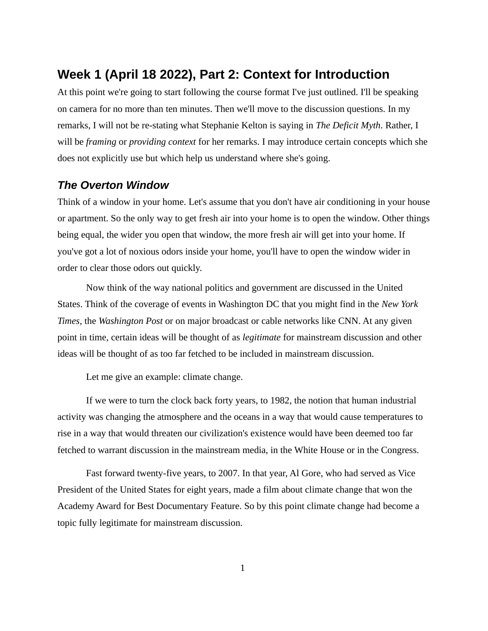## **Week 1 (April 18 2022), Part 2: Context for Introduction**

At this point we're going to start following the course format I've just outlined. I'll be speaking on camera for no more than ten minutes. Then we'll move to the discussion questions. In my remarks, I will not be re-stating what Stephanie Kelton is saying in *The Deficit Myth*. Rather, I will be *framing* or *providing context* for her remarks. I may introduce certain concepts which she does not explicitly use but which help us understand where she's going.

## *The Overton Window*

Think of a window in your home. Let's assume that you don't have air conditioning in your house or apartment. So the only way to get fresh air into your home is to open the window. Other things being equal, the wider you open that window, the more fresh air will get into your home. If you've got a lot of noxious odors inside your home, you'll have to open the window wider in order to clear those odors out quickly.

Now think of the way national politics and government are discussed in the United States. Think of the coverage of events in Washington DC that you might find in the *New York Times*, the *Washington Post* or on major broadcast or cable networks like CNN. At any given point in time, certain ideas will be thought of as *legitimate* for mainstream discussion and other ideas will be thought of as too far fetched to be included in mainstream discussion.

Let me give an example: climate change.

If we were to turn the clock back forty years, to 1982, the notion that human industrial activity was changing the atmosphere and the oceans in a way that would cause temperatures to rise in a way that would threaten our civilization's existence would have been deemed too far fetched to warrant discussion in the mainstream media, in the White House or in the Congress.

Fast forward twenty-five years, to 2007. In that year, Al Gore, who had served as Vice President of the United States for eight years, made a film about climate change that won the Academy Award for Best Documentary Feature. So by this point climate change had become a topic fully legitimate for mainstream discussion.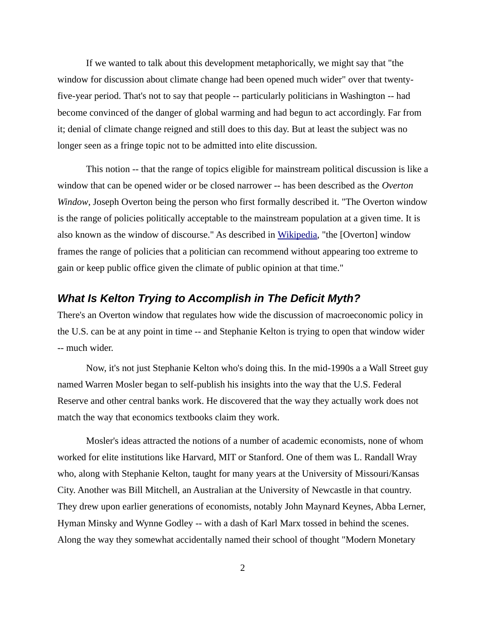If we wanted to talk about this development metaphorically, we might say that "the window for discussion about climate change had been opened much wider" over that twentyfive-year period. That's not to say that people -- particularly politicians in Washington -- had become convinced of the danger of global warming and had begun to act accordingly. Far from it; denial of climate change reigned and still does to this day. But at least the subject was no longer seen as a fringe topic not to be admitted into elite discussion.

This notion -- that the range of topics eligible for mainstream political discussion is like a window that can be opened wider or be closed narrower -- has been described as the *Overton Window*, Joseph Overton being the person who first formally described it. "The Overton window is the range of policies politically acceptable to the mainstream population at a given time. It is also known as the window of discourse." As described in [Wikipedia](https://en.wikipedia.org/wiki/Overton_window), "the [Overton] window frames the range of policies that a politician can recommend without appearing too extreme to gain or keep public office given the climate of public opinion at that time."

## *What Is Kelton Trying to Accomplish in The Deficit Myth?*

There's an Overton window that regulates how wide the discussion of macroeconomic policy in the U.S. can be at any point in time -- and Stephanie Kelton is trying to open that window wider -- much wider.

Now, it's not just Stephanie Kelton who's doing this. In the mid-1990s a a Wall Street guy named Warren Mosler began to self-publish his insights into the way that the U.S. Federal Reserve and other central banks work. He discovered that the way they actually work does not match the way that economics textbooks claim they work.

Mosler's ideas attracted the notions of a number of academic economists, none of whom worked for elite institutions like Harvard, MIT or Stanford. One of them was L. Randall Wray who, along with Stephanie Kelton, taught for many years at the University of Missouri/Kansas City. Another was Bill Mitchell, an Australian at the University of Newcastle in that country. They drew upon earlier generations of economists, notably John Maynard Keynes, Abba Lerner, Hyman Minsky and Wynne Godley -- with a dash of Karl Marx tossed in behind the scenes. Along the way they somewhat accidentally named their school of thought "Modern Monetary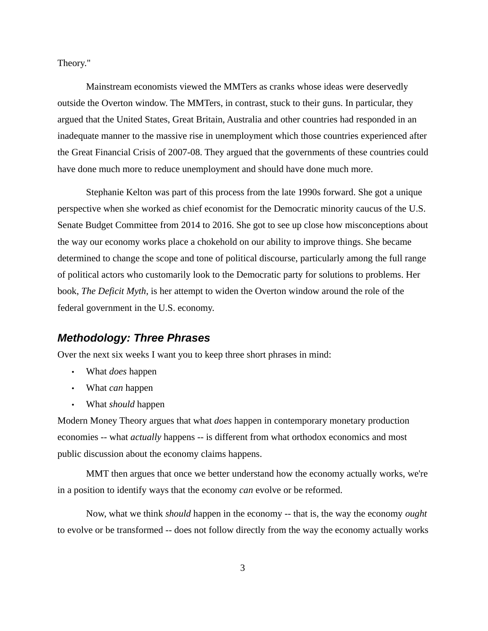Theory."

Mainstream economists viewed the MMTers as cranks whose ideas were deservedly outside the Overton window. The MMTers, in contrast, stuck to their guns. In particular, they argued that the United States, Great Britain, Australia and other countries had responded in an inadequate manner to the massive rise in unemployment which those countries experienced after the Great Financial Crisis of 2007-08. They argued that the governments of these countries could have done much more to reduce unemployment and should have done much more.

Stephanie Kelton was part of this process from the late 1990s forward. She got a unique perspective when she worked as chief economist for the Democratic minority caucus of the U.S. Senate Budget Committee from 2014 to 2016. She got to see up close how misconceptions about the way our economy works place a chokehold on our ability to improve things. She became determined to change the scope and tone of political discourse, particularly among the full range of political actors who customarily look to the Democratic party for solutions to problems. Her book, *The Deficit Myth*, is her attempt to widen the Overton window around the role of the federal government in the U.S. economy.

## *Methodology: Three Phrases*

Over the next six weeks I want you to keep three short phrases in mind:

- What *does* happen
- What *can* happen
- What *should* happen

Modern Money Theory argues that what *does* happen in contemporary monetary production economies -- what *actually* happens -- is different from what orthodox economics and most public discussion about the economy claims happens.

MMT then argues that once we better understand how the economy actually works, we're in a position to identify ways that the economy *can* evolve or be reformed.

Now, what we think *should* happen in the economy -- that is, the way the economy *ought* to evolve or be transformed -- does not follow directly from the way the economy actually works